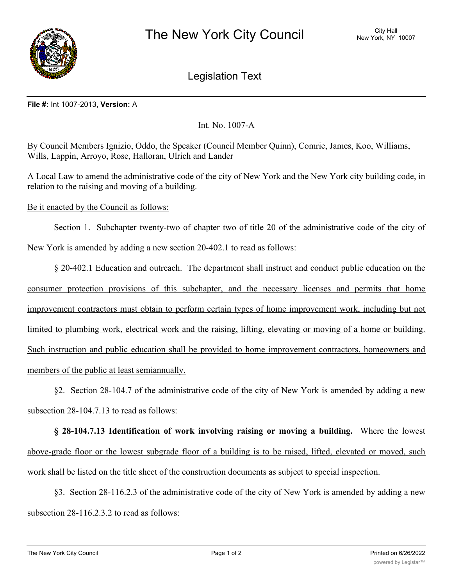

Legislation Text

## **File #:** Int 1007-2013, **Version:** A

Int. No. 1007-A

By Council Members Ignizio, Oddo, the Speaker (Council Member Quinn), Comrie, James, Koo, Williams, Wills, Lappin, Arroyo, Rose, Halloran, Ulrich and Lander

A Local Law to amend the administrative code of the city of New York and the New York city building code, in relation to the raising and moving of a building.

Be it enacted by the Council as follows:

Section 1. Subchapter twenty-two of chapter two of title 20 of the administrative code of the city of New York is amended by adding a new section 20-402.1 to read as follows:

§ 20-402.1 Education and outreach. The department shall instruct and conduct public education on the consumer protection provisions of this subchapter, and the necessary licenses and permits that home improvement contractors must obtain to perform certain types of home improvement work, including but not limited to plumbing work, electrical work and the raising, lifting, elevating or moving of a home or building. Such instruction and public education shall be provided to home improvement contractors, homeowners and members of the public at least semiannually.

§2. Section 28-104.7 of the administrative code of the city of New York is amended by adding a new subsection 28-104.7.13 to read as follows:

**§ 28-104.7.13 Identification of work involving raising or moving a building.** Where the lowest above-grade floor or the lowest subgrade floor of a building is to be raised, lifted, elevated or moved, such work shall be listed on the title sheet of the construction documents as subject to special inspection.

§3. Section 28-116.2.3 of the administrative code of the city of New York is amended by adding a new subsection 28-116.2.3.2 to read as follows: